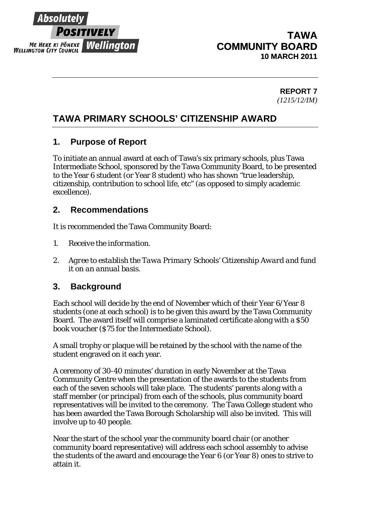

# **TAWA COMMUNITY BOARD 10 MARCH 2011**

**REPORT 7**  *(1215/12/IM)* 

# **TAWA PRIMARY SCHOOLS' CITIZENSHIP AWARD**

## **1. Purpose of Report**

To initiate an annual award at each of Tawa's six primary schools, plus Tawa Intermediate School, sponsored by the Tawa Community Board, to be presented to the Year 6 student (or Year 8 student) who has shown "true leadership, citizenship, contribution to school life, etc" (as opposed to simply academic excellence).

## **2. Recommendations**

It is recommended the Tawa Community Board:

- *1. Receive the information.*
- *2. Agree to establish the Tawa Primary Schools' Citizenship Award and fund it on an annual basis.*

### **3. Background**

Each school will decide by the end of November which of their Year 6/Year 8 students (one at each school) is to be given this award by the Tawa Community Board. The award itself will comprise a laminated certificate along with a \$50 book voucher (\$75 for the Intermediate School).

A small trophy or plaque will be retained by the school with the name of the student engraved on it each year.

A ceremony of 30-40 minutes' duration in early November at the Tawa Community Centre when the presentation of the awards to the students from each of the seven schools will take place. The students' parents along with a staff member (or principal) from each of the schools, plus community board representatives will be invited to the ceremony. The Tawa College student who has been awarded the Tawa Borough Scholarship will also be invited. This will involve up to 40 people.

Near the start of the school year the community board chair (or another community board representative) will address each school assembly to advise the students of the award and encourage the Year 6 (or Year 8) ones to strive to attain it.